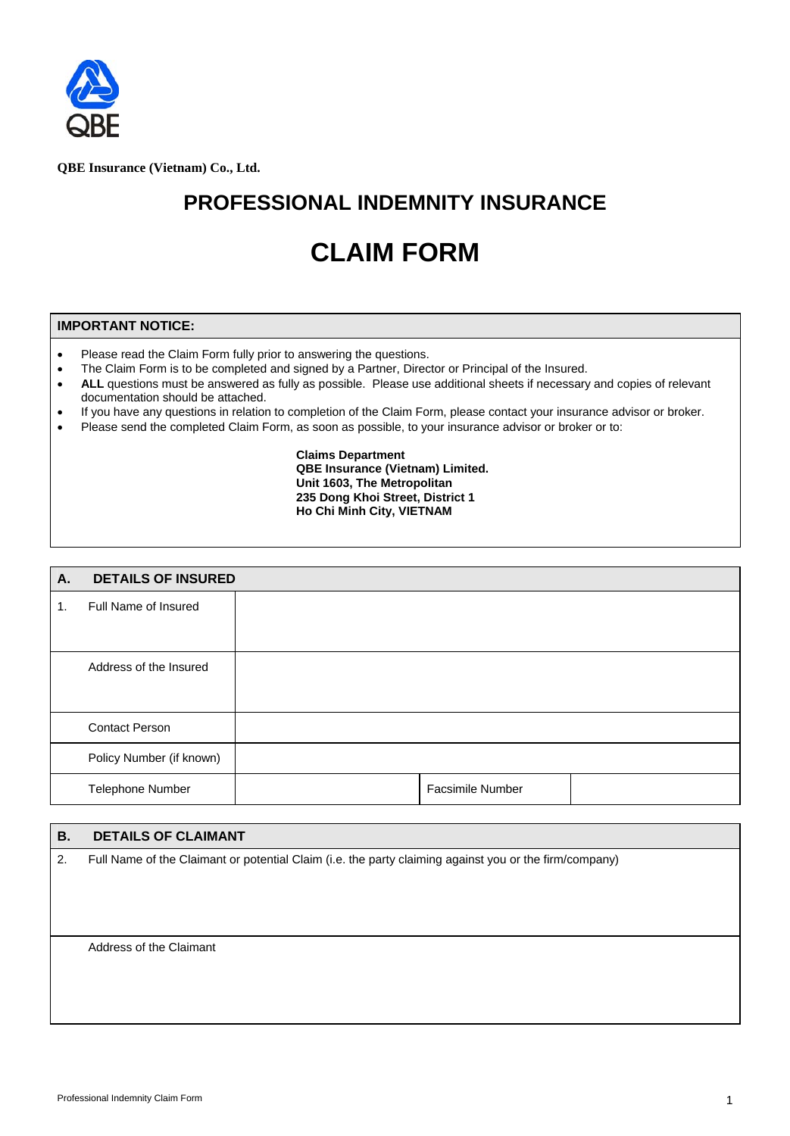

**QBE Insurance (Vietnam) Co., Ltd.**

## **PROFESSIONAL INDEMNITY INSURANCE**

# **CLAIM FORM**

#### **IMPORTANT NOTICE:**

- Please read the Claim Form fully prior to answering the questions.
- The Claim Form is to be completed and signed by a Partner, Director or Principal of the Insured.
- ALL questions must be answered as fully as possible. Please use additional sheets if necessary and copies of relevant documentation should be attached.
- If you have any questions in relation to completion of the Claim Form, please contact your insurance advisor or broker.
- Please send the completed Claim Form, as soon as possible, to your insurance advisor or broker or to:

#### **Claims Department QBE Insurance (Vietnam) Limited. Unit 1603, The Metropolitan 235 Dong Khoi Street, District 1 Ho Chi Minh City, VIETNAM**

| A. | <b>DETAILS OF INSURED</b> |                         |  |
|----|---------------------------|-------------------------|--|
| 1. | Full Name of Insured      |                         |  |
|    |                           |                         |  |
|    | Address of the Insured    |                         |  |
|    |                           |                         |  |
|    | <b>Contact Person</b>     |                         |  |
|    | Policy Number (if known)  |                         |  |
|    | Telephone Number          | <b>Facsimile Number</b> |  |

### **B. DETAILS OF CLAIMANT**  2. Full Name of the Claimant or potential Claim (i.e. the party claiming against you or the firm/company)

Address of the Claimant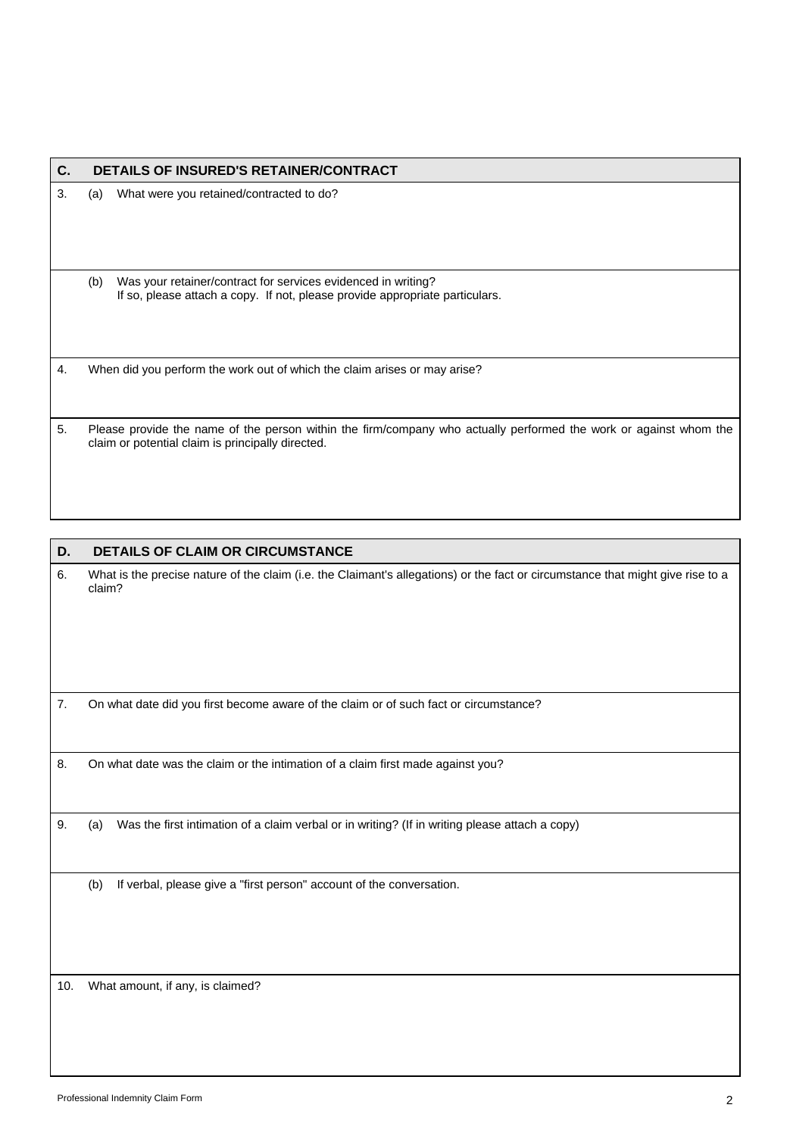| C. |     | <b>DETAILS OF INSURED'S RETAINER/CONTRACT</b>                                                                                                                          |
|----|-----|------------------------------------------------------------------------------------------------------------------------------------------------------------------------|
| 3. | (a) | What were you retained/contracted to do?                                                                                                                               |
|    | (b) | Was your retainer/contract for services evidenced in writing?<br>If so, please attach a copy. If not, please provide appropriate particulars.                          |
| 4. |     | When did you perform the work out of which the claim arises or may arise?                                                                                              |
| 5. |     | Please provide the name of the person within the firm/company who actually performed the work or against whom the<br>claim or potential claim is principally directed. |

| D. | <b>DETAILS OF CLAIM OR CIRCUMSTANCE</b>                                                                                                   |
|----|-------------------------------------------------------------------------------------------------------------------------------------------|
| 6. | What is the precise nature of the claim (i.e. the Claimant's allegations) or the fact or circumstance that might give rise to a<br>claim? |
| 7. | On what date did you first become aware of the claim or of such fact or circumstance?                                                     |
| 8. | On what date was the claim or the intimation of a claim first made against you?                                                           |
| 9. | Was the first intimation of a claim verbal or in writing? (If in writing please attach a copy)<br>(a)                                     |
|    | (b)<br>If verbal, please give a "first person" account of the conversation.                                                               |

10. What amount, if any, is claimed?